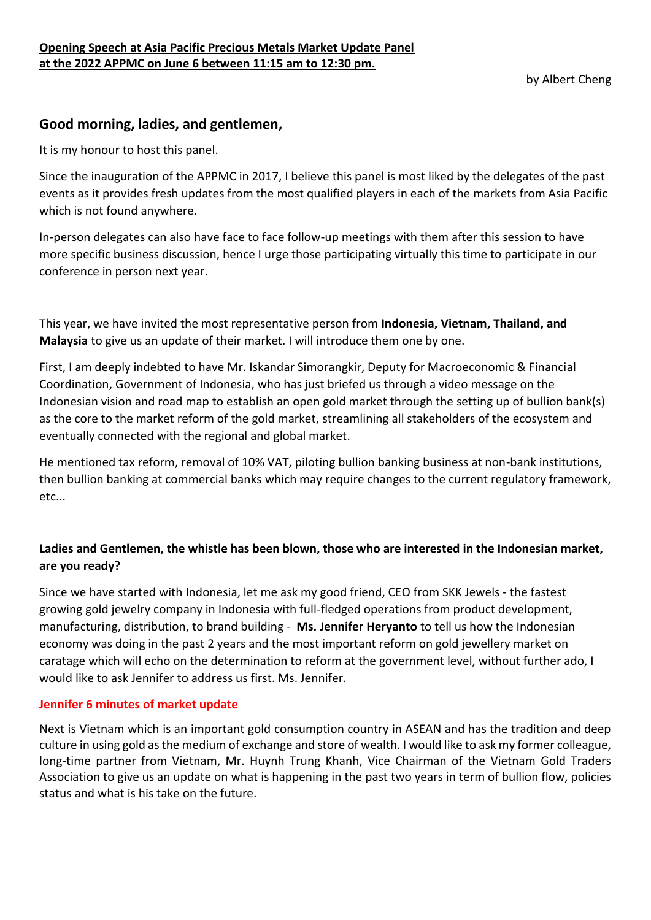by Albert Cheng

# **Good morning, ladies, and gentlemen,**

It is my honour to host this panel.

Since the inauguration of the APPMC in 2017, I believe this panel is most liked by the delegates of the past events as it provides fresh updates from the most qualified players in each of the markets from Asia Pacific which is not found anywhere.

In-person delegates can also have face to face follow-up meetings with them after this session to have more specific business discussion, hence I urge those participating virtually this time to participate in our conference in person next year.

This year, we have invited the most representative person from **Indonesia, Vietnam, Thailand, and Malaysia** to give us an update of their market. I will introduce them one by one.

First, I am deeply indebted to have Mr. Iskandar Simorangkir, Deputy for Macroeconomic & Financial Coordination, Government of Indonesia, who has just briefed us through a video message on the Indonesian vision and road map to establish an open gold market through the setting up of bullion bank(s) as the core to the market reform of the gold market, streamlining all stakeholders of the ecosystem and eventually connected with the regional and global market.

He mentioned tax reform, removal of 10% VAT, piloting bullion banking business at non-bank institutions, then bullion banking at commercial banks which may require changes to the current regulatory framework, etc...

## **Ladies and Gentlemen, the whistle has been blown, those who are interested in the Indonesian market, are you ready?**

Since we have started with Indonesia, let me ask my good friend, CEO from SKK Jewels - the fastest growing gold jewelry company in Indonesia with full-fledged operations from product development, manufacturing, distribution, to brand building - **Ms. Jennifer Heryanto** to tell us how the Indonesian economy was doing in the past 2 years and the most important reform on gold jewellery market on caratage which will echo on the determination to reform at the government level, without further ado, I would like to ask Jennifer to address us first. Ms. Jennifer.

### **Jennifer 6 minutes of market update**

Next is Vietnam which is an important gold consumption country in ASEAN and has the tradition and deep culture in using gold as the medium of exchange and store of wealth. I would like to ask my former colleague, long-time partner from Vietnam, Mr. Huynh Trung Khanh, Vice Chairman of the Vietnam Gold Traders Association to give us an update on what is happening in the past two years in term of bullion flow, policies status and what is his take on the future.